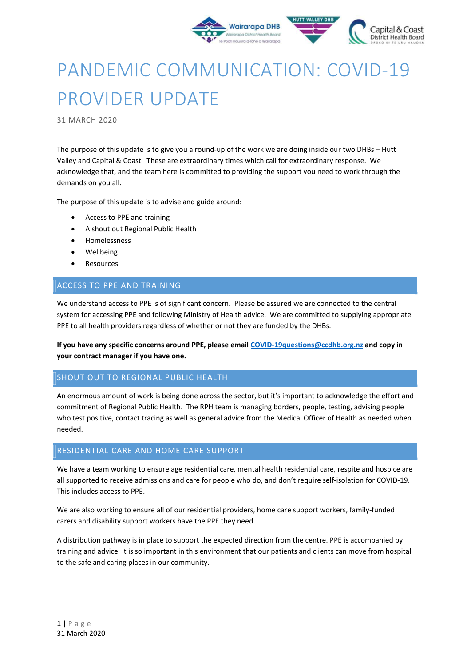

# PANDEMIC COMMUNICATION: COVID-19 PROVIDER UPDATE

31 MARCH 2020

The purpose of this update is to give you a round-up of the work we are doing inside our two DHBs – Hutt Valley and Capital & Coast. These are extraordinary times which call for extraordinary response. We acknowledge that, and the team here is committed to providing the support you need to work through the demands on you all.

The purpose of this update is to advise and guide around:

- Access to PPE and training
- A shout out Regional Public Health
- Homelessness
- Wellbeing
- Resources

# ACCESS TO PPE AND TRAINING

We understand access to PPE is of significant concern. Please be assured we are connected to the central system for accessing PPE and following Ministry of Health advice. We are committed to supplying appropriate PPE to all health providers regardless of whether or not they are funded by the DHBs.

If you have any specific concerns around PPE, please email COVID-19questions@ccdhb.org.nz and copy in your contract manager if you have one.

## SHOUT OUT TO REGIONAL PUBLIC HEALTH

An enormous amount of work is being done across the sector, but it's important to acknowledge the effort and commitment of Regional Public Health. The RPH team is managing borders, people, testing, advising people who test positive, contact tracing as well as general advice from the Medical Officer of Health as needed when needed.

## RESIDENTIAL CARE AND HOME CARE SUPPORT

We have a team working to ensure age residential care, mental health residential care, respite and hospice are all supported to receive admissions and care for people who do, and don't require self-isolation for COVID-19. This includes access to PPE.

We are also working to ensure all of our residential providers, home care support workers, family-funded carers and disability support workers have the PPE they need.

A distribution pathway is in place to support the expected direction from the centre. PPE is accompanied by training and advice. It is so important in this environment that our patients and clients can move from hospital to the safe and caring places in our community.